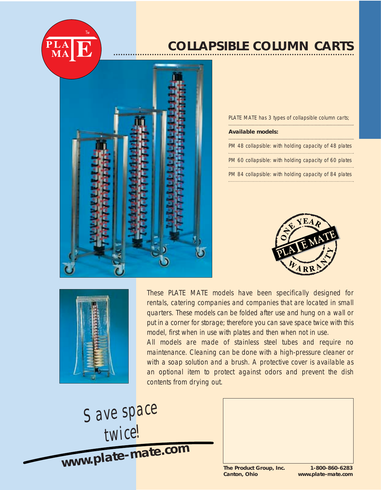

## **COLLAPSIBLE COLUMN CARTS**



PLATE MATE has 3 types of collapsible column carts;

## **Available models:**

PM 48 collapsible: with holding capacity of 48 plates PM 60 collapsible: with holding capacity of 60 plates PM 84 collapsible: with holding capacity of 84 plates





These PLATE MATE models have been specifically designed for rentals, catering companies and companies that are located in small quarters. These models can be folded after use and hung on a wall or put in a corner for storage; therefore you can save space twice with this model, first when in use with plates and then when not in use.

All models are made of stainless steel tubes and require no maintenance. Cleaning can be done with a high-pressure cleaner or with a soap solution and a brush. A protective cover is available as an optional item to protect against odors and prevent the dish contents from drying out.

*Save space twice!*

**www.plate-mate.co<sup>m</sup>**

**The Product Group, Inc. 1-800-860-6283**